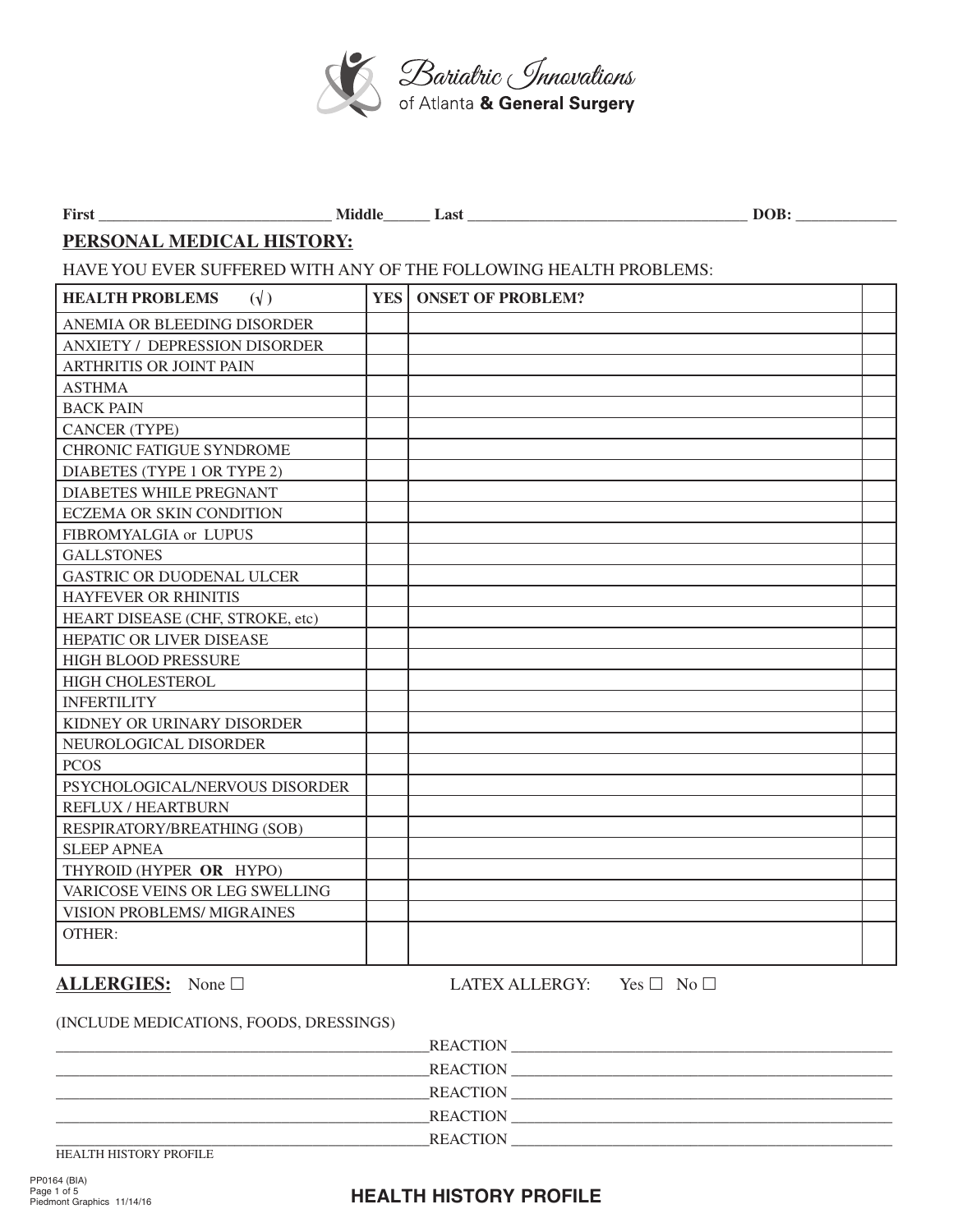

| First                                                             |            | Middle Last              | DOB: |  |  |  |  |  |
|-------------------------------------------------------------------|------------|--------------------------|------|--|--|--|--|--|
| PERSONAL MEDICAL HISTORY:                                         |            |                          |      |  |  |  |  |  |
| HAVE YOU EVER SUFFERED WITH ANY OF THE FOLLOWING HEALTH PROBLEMS: |            |                          |      |  |  |  |  |  |
| <b>HEALTH PROBLEMS</b><br>$(\sqrt{2})$                            | <b>YES</b> | <b>ONSET OF PROBLEM?</b> |      |  |  |  |  |  |
| ANEMIA OR BLEEDING DISORDER                                       |            |                          |      |  |  |  |  |  |
| ANXIETY / DEPRESSION DISORDER                                     |            |                          |      |  |  |  |  |  |
| ARTHRITIS OR JOINT PAIN                                           |            |                          |      |  |  |  |  |  |
| <b>ASTHMA</b>                                                     |            |                          |      |  |  |  |  |  |
| <b>BACK PAIN</b>                                                  |            |                          |      |  |  |  |  |  |
| <b>CANCER (TYPE)</b>                                              |            |                          |      |  |  |  |  |  |
| CHRONIC FATIGUE SYNDROME                                          |            |                          |      |  |  |  |  |  |
| DIABETES (TYPE 1 OR TYPE 2)                                       |            |                          |      |  |  |  |  |  |
| DIABETES WHILE PREGNANT                                           |            |                          |      |  |  |  |  |  |
| <b>ECZEMA OR SKIN CONDITION</b>                                   |            |                          |      |  |  |  |  |  |
| FIBROMYALGIA or LUPUS                                             |            |                          |      |  |  |  |  |  |
| <b>GALLSTONES</b>                                                 |            |                          |      |  |  |  |  |  |
| GASTRIC OR DUODENAL ULCER                                         |            |                          |      |  |  |  |  |  |
| <b>HAYFEVER OR RHINITIS</b>                                       |            |                          |      |  |  |  |  |  |
| HEART DISEASE (CHF, STROKE, etc)                                  |            |                          |      |  |  |  |  |  |
| HEPATIC OR LIVER DISEASE                                          |            |                          |      |  |  |  |  |  |
| HIGH BLOOD PRESSURE                                               |            |                          |      |  |  |  |  |  |
| HIGH CHOLESTEROL                                                  |            |                          |      |  |  |  |  |  |
| <b>INFERTILITY</b>                                                |            |                          |      |  |  |  |  |  |
| KIDNEY OR URINARY DISORDER                                        |            |                          |      |  |  |  |  |  |
| NEUROLOGICAL DISORDER                                             |            |                          |      |  |  |  |  |  |
| <b>PCOS</b>                                                       |            |                          |      |  |  |  |  |  |
| PSYCHOLOGICAL/NERVOUS DISORDER                                    |            |                          |      |  |  |  |  |  |
| <b>REFLUX / HEARTBURN</b>                                         |            |                          |      |  |  |  |  |  |
| RESPIRATORY/BREATHING (SOB)                                       |            |                          |      |  |  |  |  |  |
| <b>SLEEP APNEA</b>                                                |            |                          |      |  |  |  |  |  |
| THYROID (HYPER OR HYPO)                                           |            |                          |      |  |  |  |  |  |
| VARICOSE VEINS OR LEG SWELLING                                    |            |                          |      |  |  |  |  |  |
| VISION PROBLEMS/ MIGRAINES                                        |            |                          |      |  |  |  |  |  |
| OTHER:                                                            |            |                          |      |  |  |  |  |  |
|                                                                   |            |                          |      |  |  |  |  |  |
|                                                                   |            |                          |      |  |  |  |  |  |

**ALLERGIES:** None □ LATEX ALLERGY: Yes □ No □

#### (INCLUDE MEDICATIONS, FOODS, DRESSINGS)

| <b>REACTION</b> |  |
|-----------------|--|
| <b>REACTION</b> |  |
| <b>REACTION</b> |  |
| <b>REACTION</b> |  |
| <b>REACTION</b> |  |

HEALTH HISTORY PROFILE

### **HEALTH HISTORY PROFILE**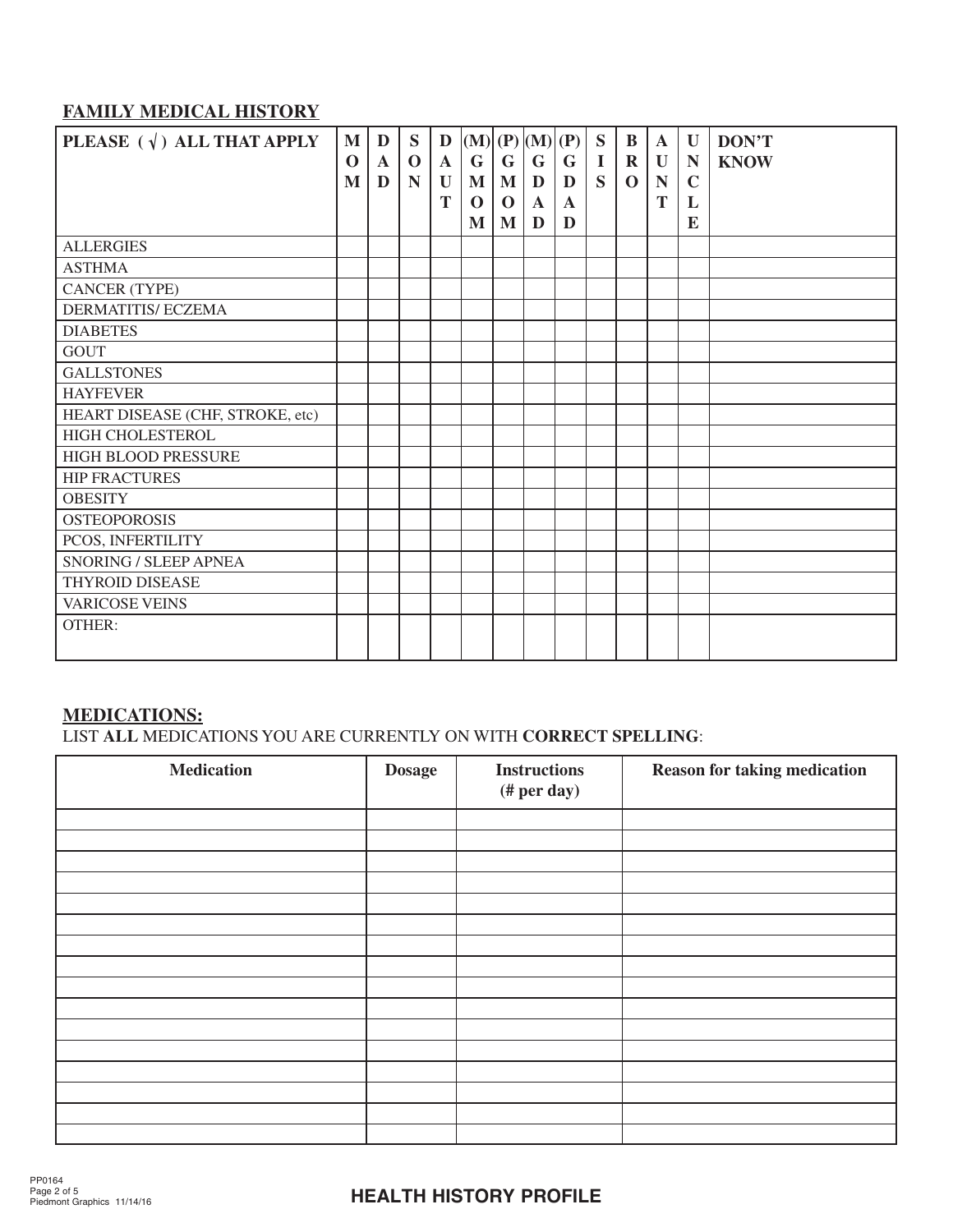## **FAMILY MEDICAL HISTORY**

| PLEASE $(\sqrt{})$ ALL THAT APPLY | M<br>$\mathbf 0$ | D<br>$\mathbf A$ | S<br>$\mathbf 0$ | D<br>$\mathbf{A}$ | (M)  (P)  (M)  (P)<br>G | G        | $\mathbf G$  | G            | S<br>$\mathbf I$        | $\bf{B}$<br>$\mathbf R$ | $\mathbf A$<br>$\mathbf U$ | U<br>N      | DON'T<br><b>KNOW</b> |
|-----------------------------------|------------------|------------------|------------------|-------------------|-------------------------|----------|--------------|--------------|-------------------------|-------------------------|----------------------------|-------------|----------------------|
|                                   | M                | D                | N                | U                 | $\mathbf{M}$            | M        | D            | D            | $\overline{\mathbf{S}}$ | $\mathbf 0$             | N                          | $\mathbf C$ |                      |
|                                   |                  |                  |                  | T                 | $\Omega$                | $\Omega$ | $\mathbf{A}$ | $\mathbf{A}$ |                         |                         | T                          | L           |                      |
|                                   |                  |                  |                  |                   | M                       | M        | D            | D            |                         |                         |                            | E           |                      |
| <b>ALLERGIES</b>                  |                  |                  |                  |                   |                         |          |              |              |                         |                         |                            |             |                      |
| <b>ASTHMA</b>                     |                  |                  |                  |                   |                         |          |              |              |                         |                         |                            |             |                      |
| <b>CANCER (TYPE)</b>              |                  |                  |                  |                   |                         |          |              |              |                         |                         |                            |             |                      |
| <b>DERMATITIS/ ECZEMA</b>         |                  |                  |                  |                   |                         |          |              |              |                         |                         |                            |             |                      |
| <b>DIABETES</b>                   |                  |                  |                  |                   |                         |          |              |              |                         |                         |                            |             |                      |
| <b>GOUT</b>                       |                  |                  |                  |                   |                         |          |              |              |                         |                         |                            |             |                      |
| <b>GALLSTONES</b>                 |                  |                  |                  |                   |                         |          |              |              |                         |                         |                            |             |                      |
| <b>HAYFEVER</b>                   |                  |                  |                  |                   |                         |          |              |              |                         |                         |                            |             |                      |
| HEART DISEASE (CHF, STROKE, etc)  |                  |                  |                  |                   |                         |          |              |              |                         |                         |                            |             |                      |
| HIGH CHOLESTEROL                  |                  |                  |                  |                   |                         |          |              |              |                         |                         |                            |             |                      |
| HIGH BLOOD PRESSURE               |                  |                  |                  |                   |                         |          |              |              |                         |                         |                            |             |                      |
| <b>HIP FRACTURES</b>              |                  |                  |                  |                   |                         |          |              |              |                         |                         |                            |             |                      |
| <b>OBESITY</b>                    |                  |                  |                  |                   |                         |          |              |              |                         |                         |                            |             |                      |
| <b>OSTEOPOROSIS</b>               |                  |                  |                  |                   |                         |          |              |              |                         |                         |                            |             |                      |
| PCOS, INFERTILITY                 |                  |                  |                  |                   |                         |          |              |              |                         |                         |                            |             |                      |
| <b>SNORING / SLEEP APNEA</b>      |                  |                  |                  |                   |                         |          |              |              |                         |                         |                            |             |                      |
| <b>THYROID DISEASE</b>            |                  |                  |                  |                   |                         |          |              |              |                         |                         |                            |             |                      |
| <b>VARICOSE VEINS</b>             |                  |                  |                  |                   |                         |          |              |              |                         |                         |                            |             |                      |
| <b>OTHER:</b>                     |                  |                  |                  |                   |                         |          |              |              |                         |                         |                            |             |                      |

## **MEDICATIONS:**

LIST **ALL** MEDICATIONS YOU ARE CURRENTLY ON WITH **CORRECT SPELLING**:

| <b>Medication</b> | <b>Dosage</b> | <b>Instructions</b><br>#per day) | <b>Reason for taking medication</b> |  |
|-------------------|---------------|----------------------------------|-------------------------------------|--|
|                   |               |                                  |                                     |  |
|                   |               |                                  |                                     |  |
|                   |               |                                  |                                     |  |
|                   |               |                                  |                                     |  |
|                   |               |                                  |                                     |  |
|                   |               |                                  |                                     |  |
|                   |               |                                  |                                     |  |
|                   |               |                                  |                                     |  |
|                   |               |                                  |                                     |  |
|                   |               |                                  |                                     |  |
|                   |               |                                  |                                     |  |
|                   |               |                                  |                                     |  |
|                   |               |                                  |                                     |  |
|                   |               |                                  |                                     |  |
|                   |               |                                  |                                     |  |
|                   |               |                                  |                                     |  |

# **HEALTH HISTORY PROFILE**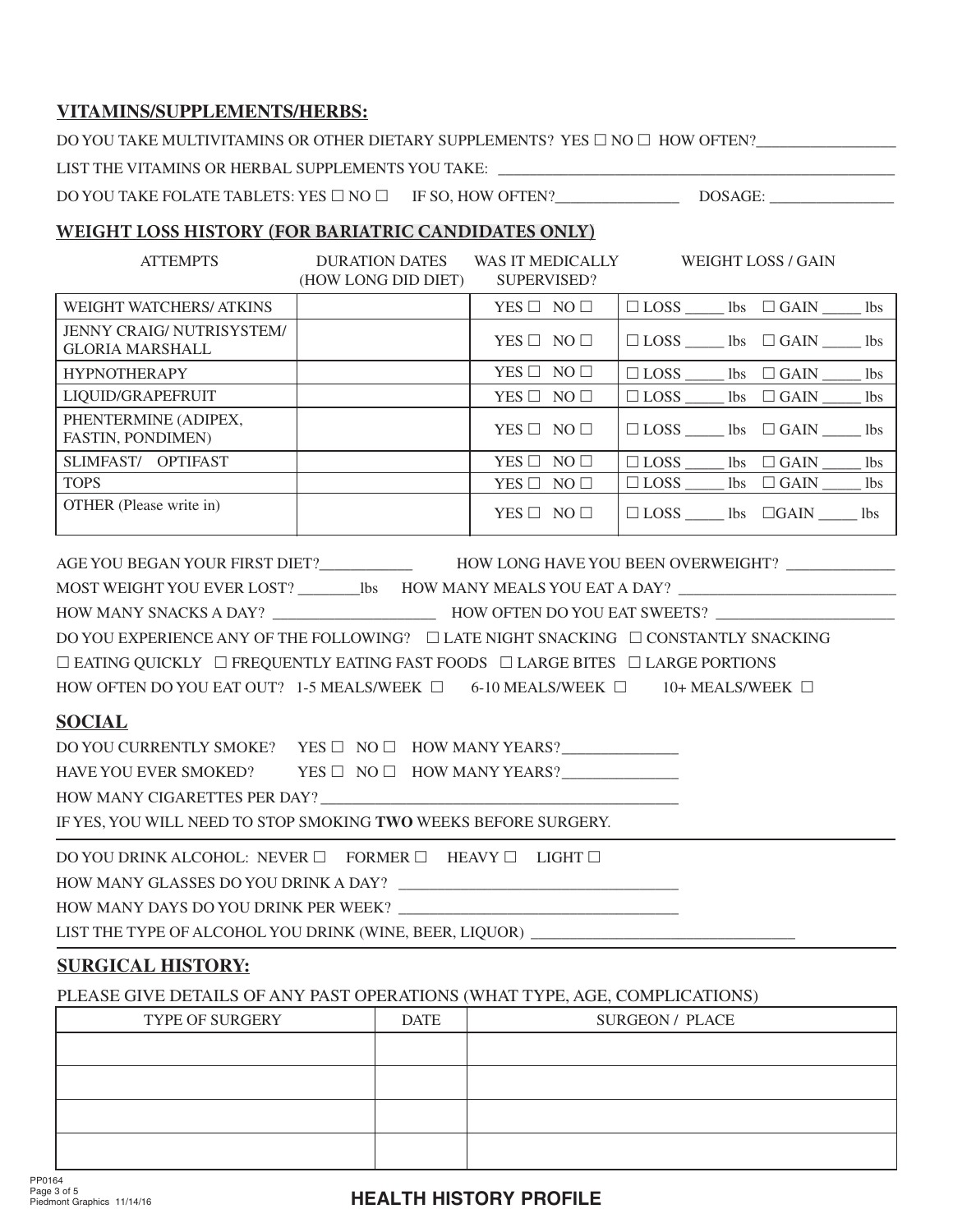#### **VITAMINS/SUPPLEMENTS/HERBS:**

DO YOU TAKE MULTIVITAMINS OR OTHER DIETARY SUPPLEMENTS? YES  $\Box$  NO  $\Box$  HOW OFTEN?

LIST THE VITAMINS OR HERBAL SUPPLEMENTS YOU TAKE: \_\_\_\_\_\_

DO YOU TAKE FOLATE TABLETS: YES £ NO £ IF SO, HOW OFTEN?\_\_\_\_\_\_\_\_\_\_\_\_\_\_\_\_ DOSAGE: \_\_\_\_\_\_\_\_\_\_\_\_\_\_\_\_

#### **WEIGHT LOSS HISTORY (FOR BARIATRIC CANDIDATES ONLY)**

| <b>ATTEMPTS</b>                                                                                                                                                                                                                                                                                                                                                                                                                                                                                                                                                                                                                                                                                                                  | DURATION DATES WAS IT MEDICALLY WEIGHT LOSS / GAIN<br>(HOW LONG DID DIET) | SUPERVISED?          |                                                  |  |                                    |  |  |
|----------------------------------------------------------------------------------------------------------------------------------------------------------------------------------------------------------------------------------------------------------------------------------------------------------------------------------------------------------------------------------------------------------------------------------------------------------------------------------------------------------------------------------------------------------------------------------------------------------------------------------------------------------------------------------------------------------------------------------|---------------------------------------------------------------------------|----------------------|--------------------------------------------------|--|------------------------------------|--|--|
| <b>WEIGHT WATCHERS/ ATKINS</b>                                                                                                                                                                                                                                                                                                                                                                                                                                                                                                                                                                                                                                                                                                   |                                                                           | YES $\Box$ NO $\Box$ | $\Box$ LOSS ______ lbs $\Box$ GAIN ______ lbs    |  |                                    |  |  |
| JENNY CRAIG/NUTRISYSTEM/<br><b>GLORIA MARSHALL</b>                                                                                                                                                                                                                                                                                                                                                                                                                                                                                                                                                                                                                                                                               |                                                                           | YES $\Box$ NO $\Box$ | $\Box$ LOSS _______ lbs $\Box$ GAIN ________ lbs |  |                                    |  |  |
| <b>HYPNOTHERAPY</b>                                                                                                                                                                                                                                                                                                                                                                                                                                                                                                                                                                                                                                                                                                              |                                                                           | YES $\Box$ NO $\Box$ | $\Box$ LOSS _______ lbs $\Box$ GAIN ________ lbs |  |                                    |  |  |
| LIQUID/GRAPEFRUIT                                                                                                                                                                                                                                                                                                                                                                                                                                                                                                                                                                                                                                                                                                                |                                                                           | YES $\Box$ NO $\Box$ | $\Box$ LOSS _______ lbs $\Box$ GAIN _______ lbs  |  |                                    |  |  |
| PHENTERMINE (ADIPEX,<br>FASTIN, PONDIMEN)                                                                                                                                                                                                                                                                                                                                                                                                                                                                                                                                                                                                                                                                                        |                                                                           | $YES \Box NO \Box$   |                                                  |  | $\Box$ LOSS $\Box$ GAIN $\Box$ Ibs |  |  |
| SLIMFAST/ OPTIFAST                                                                                                                                                                                                                                                                                                                                                                                                                                                                                                                                                                                                                                                                                                               |                                                                           | YES $\Box$ NO $\Box$ |                                                  |  |                                    |  |  |
| <b>TOPS</b>                                                                                                                                                                                                                                                                                                                                                                                                                                                                                                                                                                                                                                                                                                                      |                                                                           | YES $\Box$ NO $\Box$ |                                                  |  |                                    |  |  |
| OTHER (Please write in)                                                                                                                                                                                                                                                                                                                                                                                                                                                                                                                                                                                                                                                                                                          |                                                                           | YES $\Box$ NO $\Box$ | $\Box$ LOSS $\Box$ lbs $\Box$ GAIN $\Box$ lbs    |  |                                    |  |  |
| AGE YOU BEGAN YOUR FIRST DIET?____________________HOW LONG HAVE YOU BEEN OVERWEIGHT? ______________<br>MOST WEIGHT YOU EVER LOST? _____________bs  HOW MANY MEALS YOU EAT A DAY? __________________________<br>DO YOU EXPERIENCE ANY OF THE FOLLOWING? □ LATE NIGHT SNACKING □ CONSTANTLY SNACKING<br>$\Box$ EATING QUICKLY $\Box$ FREQUENTLY EATING FAST FOODS $\Box$ LARGE BITES $\Box$ LARGE PORTIONS<br>HOW OFTEN DO YOU EAT OUT? 1-5 MEALS/WEEK $\Box$ 6-10 MEALS/WEEK $\Box$ 10+ MEALS/WEEK $\Box$<br><b>SOCIAL</b><br>DO YOU CURRENTLY SMOKE? YES $\square$ NO $\square$ HOW MANY YEARS?<br>HAVE YOU EVER SMOKED? YES $\Box$ NO $\Box$ HOW MANY YEARS?<br>IF YES, YOU WILL NEED TO STOP SMOKING TWO WEEKS BEFORE SURGERY. |                                                                           |                      |                                                  |  |                                    |  |  |
| DO YOU DRINK ALCOHOL: NEVER $\square$ FORMER $\square$ HEAVY $\square$ LIGHT $\square$                                                                                                                                                                                                                                                                                                                                                                                                                                                                                                                                                                                                                                           |                                                                           |                      |                                                  |  |                                    |  |  |
|                                                                                                                                                                                                                                                                                                                                                                                                                                                                                                                                                                                                                                                                                                                                  |                                                                           |                      |                                                  |  |                                    |  |  |
| HOW MANY DAYS DO YOU DRINK PER WEEK?                                                                                                                                                                                                                                                                                                                                                                                                                                                                                                                                                                                                                                                                                             |                                                                           |                      |                                                  |  |                                    |  |  |
| LIST THE TYPE OF ALCOHOL YOU DRINK (WINE, BEER, LIQUOR) ________________________                                                                                                                                                                                                                                                                                                                                                                                                                                                                                                                                                                                                                                                 |                                                                           |                      |                                                  |  |                                    |  |  |

### **SURGICAL HISTORY:**

PLEASE GIVE DETAILS OF ANY PAST OPERATIONS (WHAT TYPE, AGE, COMPLICATIONS)

| TYPE OF SURGERY | <b>DATE</b> | <b>SURGEON / PLACE</b> |
|-----------------|-------------|------------------------|
|                 |             |                        |
|                 |             |                        |
|                 |             |                        |
|                 |             |                        |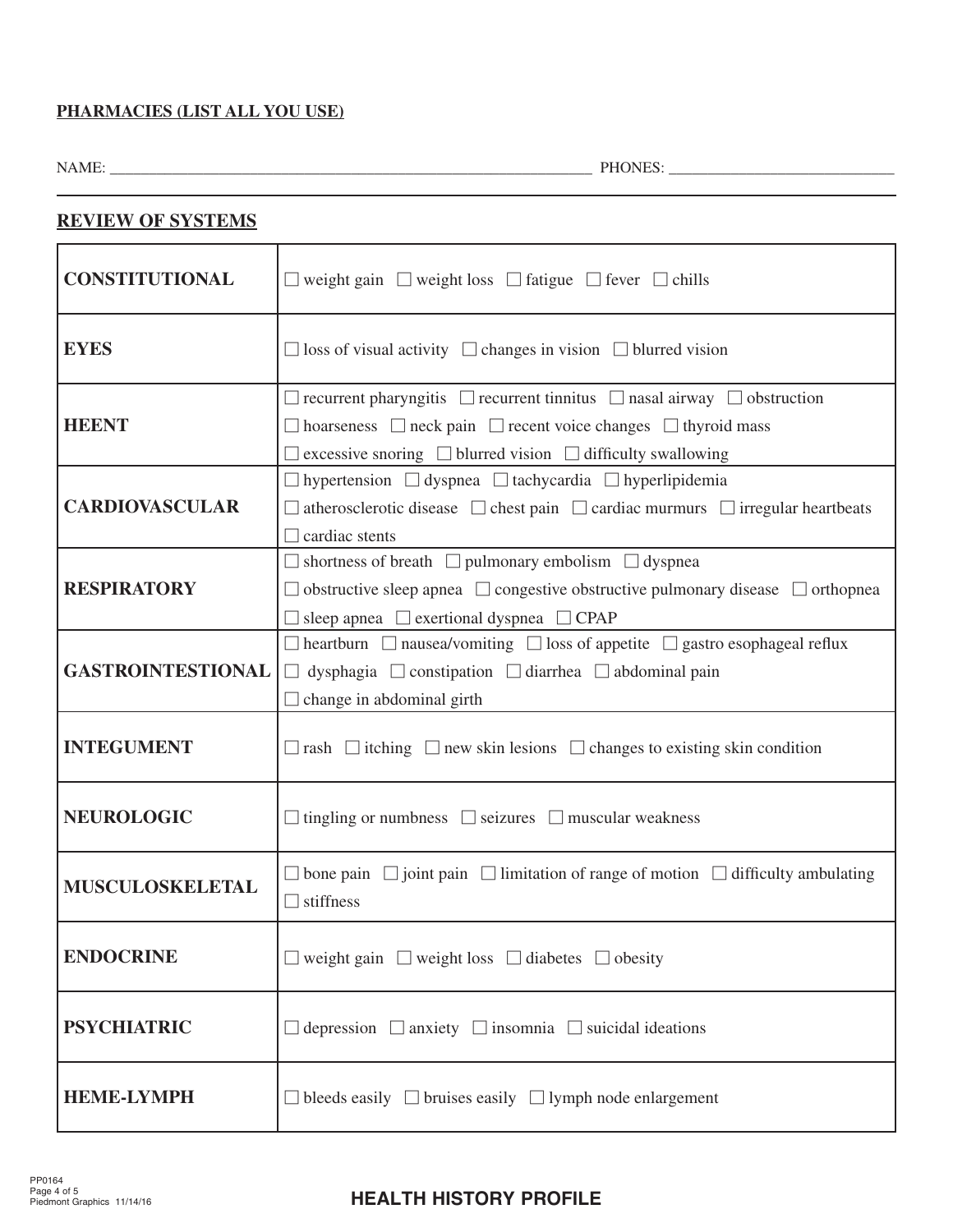#### **PHARMACIES (LIST ALL YOU USE)**

NAME: \_\_\_\_\_\_\_\_\_\_\_\_\_\_\_\_\_\_\_\_\_\_\_\_\_\_\_\_\_\_\_\_\_\_\_\_\_\_\_\_\_\_\_\_\_\_\_\_\_\_\_\_\_\_\_\_\_\_\_\_\_\_ PHONES: \_\_\_\_\_\_\_\_\_\_\_\_\_\_\_\_\_\_\_\_\_\_\_\_\_\_\_\_\_

| <u>REVIEW OF SYSTEMS</u> |                                                                                                                                                                                                                                                                    |
|--------------------------|--------------------------------------------------------------------------------------------------------------------------------------------------------------------------------------------------------------------------------------------------------------------|
| <b>CONSTITUTIONAL</b>    | $\Box$ weight gain $\Box$ weight loss $\Box$ fatigue $\Box$ fever $\Box$ chills                                                                                                                                                                                    |
| <b>EYES</b>              | $\Box$ loss of visual activity $\Box$ changes in vision $\Box$ blurred vision                                                                                                                                                                                      |
| <b>HEENT</b>             | $\Box$ recurrent pharyngitis $\Box$ recurrent tinnitus $\Box$ nasal airway $\Box$ obstruction<br>$\Box$ hoarseness $\Box$ neck pain $\Box$ recent voice changes $\Box$ thyroid mass<br>$\Box$ excessive snoring $\Box$ blurred vision $\Box$ difficulty swallowing |
| <b>CARDIOVASCULAR</b>    | $\Box$ hypertension $\Box$ dyspnea $\Box$ tachycardia $\Box$ hyperlipidemia<br>$\Box$ atherosclerotic disease $\Box$ chest pain $\Box$ cardiac murmurs $\Box$ irregular heartbeats<br>$\Box$ cardiac stents                                                        |
| <b>RESPIRATORY</b>       | $\Box$ shortness of breath $\Box$ pulmonary embolism $\Box$ dyspnear<br>$\Box$ obstructive sleep apnea $\Box$ congestive obstructive pulmonary disease $\Box$ orthopnea<br>$\Box$ sleep apnea $\Box$ exertional dyspnea $\Box$ CPAP                                |
| <b>GASTROINTESTIONAL</b> | $\Box$ heartburn $\Box$ nausea/vomiting $\Box$ loss of appetite $\Box$ gastro esophageal reflux<br>$\Box$ dysphagia $\Box$ constipation $\Box$ diarrhea $\Box$ abdominal pain<br>$\Box$ change in abdominal girth                                                  |
| <b>INTEGUMENT</b>        | $\Box$ rash $\Box$ itching $\Box$ new skin lesions $\Box$ changes to existing skin condition                                                                                                                                                                       |
| <b>NEUROLOGIC</b>        | $\Box$ tingling or numbness $\Box$ seizures $\Box$ muscular weakness                                                                                                                                                                                               |
| MUSCULOSKELETAL          | $\Box$ bone pain $\Box$ joint pain $\Box$ limitation of range of motion $\Box$ difficulty ambulating<br>$\Box$ stiffness                                                                                                                                           |
| <b>ENDOCRINE</b>         | $\Box$ weight gain $\Box$ weight loss $\Box$ diabetes $\Box$ obesity                                                                                                                                                                                               |
| <b>PSYCHIATRIC</b>       | $\Box$ depression $\Box$ anxiety $\Box$ insomnia $\Box$ suicidal ideations                                                                                                                                                                                         |
| <b>HEME-LYMPH</b>        | $\Box$ bleeds easily $\Box$ bruises easily $\Box$ lymph node enlargement                                                                                                                                                                                           |

### **REVIEW OF SYSTEMS**

# **HEALTH HISTORY PROFILE**